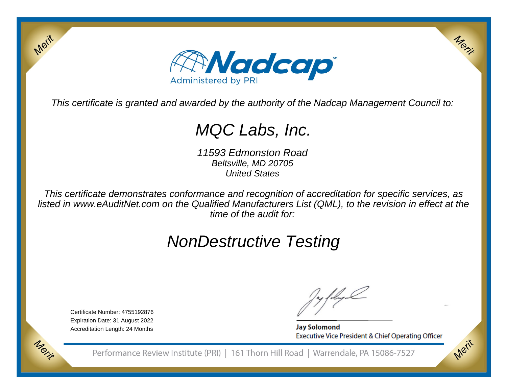

This certificate is granted and awarded by the authority of the Nadcap Management Council to:

# MQC Labs, Inc.

11593 Edmonston RoadBeltsville, MD 20705United States

This certificate demonstrates conformance and recognition of accreditation for specific services, as listed in www.eAuditNet.com on the Qualified Manufacturers List (QML), to the revision in effect at thetime of the audit for:

# NonDestructive Testing

Certificate Number: 4755192876 Expiration Date: 31 August 2022Accreditation Length: 24 Months

Merit

Morie

**Jay Solomond** Executive Vice President & Chief Operating Officer Merit

Merit

Performance Review Institute (PRI) | 161 Thorn Hill Road | Warrendale, PA 15086-7527